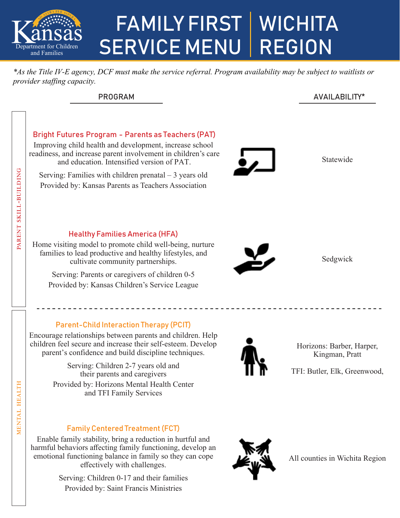

## FAMILY FIRST | WICHITA SERVICE MENU | REGION

*\*As the Title IV-E agency, DCF must make the service referral. Program availability may be subject to waitlists or provider staffing capacity.*

### PROGRAM AVAILABILITY\*



Enable family stability, bring a reduction in hurtful and harmful behaviors affecting family functioning, develop an emotional functioning balance in family so they can cope effectively with challenges.

> Serving: Children 0-17 and their families Provided by: Saint Francis Ministries



All counties in Wichita Region